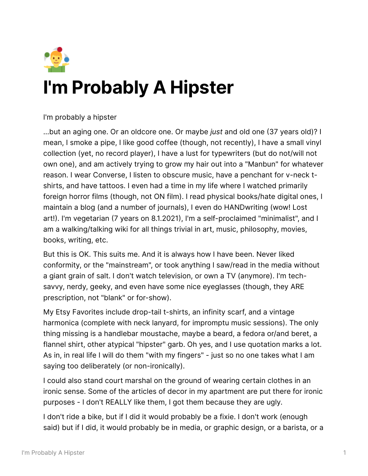

## **I'm Probably A Hipster**

I'm probably a hipster

...but an aging one. Or an oldcore one. Or maybe *just* and old one 37 years old)? I mean, I smoke a pipe, I like good coffee (though, not recently), I have a small vinyl collection (yet, no record player), I have a lust for typewriters (but do not/will not own one), and am actively trying to grow my hair out into a "Manbun" for whatever reason. I wear Converse, I listen to obscure music, have a penchant for v-neck tshirts, and have tattoos. I even had a time in my life where I watched primarily foreign horror films (though, not ON film). I read physical books/hate digital ones, I maintain a blog (and a number of journals), I even do HANDwriting (wow! Lost art!). I'm vegetarian (7 years on 8.1.2021), I'm a self-proclaimed "minimalist", and I am a walking/talking wiki for all things trivial in art, music, philosophy, movies, books, writing, etc.

But this is OK. This suits me. And it is always how I have been. Never liked conformity, or the "mainstream", or took anything I saw/read in the media without a giant grain of salt. I don't watch television, or own a TV (anymore). I'm techsavvy, nerdy, geeky, and even have some nice eyeglasses (though, they ARE prescription, not "blank" or for-show).

My Etsy Favorites include drop-tail t-shirts, an infinity scarf, and a vintage harmonica (complete with neck lanyard, for impromptu music sessions). The only thing missing is a handlebar moustache, maybe a beard, a fedora or/and beret, a flannel shirt, other atypical "hipster" garb. Oh yes, and I use quotation marks a lot. As in, in real life I will do them "with my fingers" - just so no one takes what I am saying too deliberately (or non-ironically).

I could also stand court marshal on the ground of wearing certain clothes in an ironic sense. Some of the articles of decor in my apartment are put there for ironic purposes - I don't REALLY like them, I got them because they are ugly.

I don't ride a bike, but if I did it would probably be a fixie. I don't work (enough said) but if I did, it would probably be in media, or graphic design, or a barista, or a